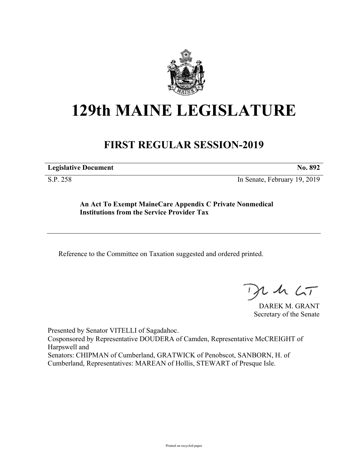

## **129th MAINE LEGISLATURE**

## **FIRST REGULAR SESSION-2019**

**Legislative Document No. 892**

S.P. 258 In Senate, February 19, 2019

**An Act To Exempt MaineCare Appendix C Private Nonmedical Institutions from the Service Provider Tax**

Reference to the Committee on Taxation suggested and ordered printed.

 $1157$ 

DAREK M. GRANT Secretary of the Senate

Presented by Senator VITELLI of Sagadahoc. Cosponsored by Representative DOUDERA of Camden, Representative McCREIGHT of Harpswell and Senators: CHIPMAN of Cumberland, GRATWICK of Penobscot, SANBORN, H. of Cumberland, Representatives: MAREAN of Hollis, STEWART of Presque Isle.